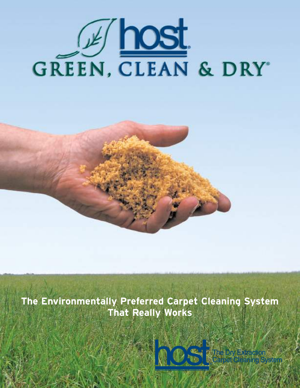



**The Environmentally Preferred Carpet Cleaning System That Really Works**



The Dry Extra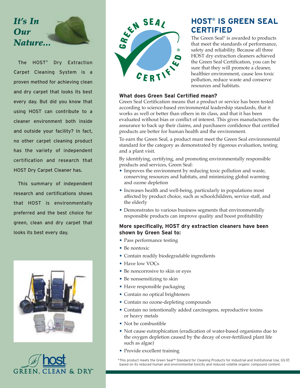# *It's In Our Nature...*

The HOST® Dry Extraction Carpet Cleaning System is a proven method for achieving clean and dry carpet that looks its best every day. But did you know that using HOST can contribute to a cleaner environment both inside and outside your facility? In fact, no other carpet cleaning product has the variety of independent certification and research that HOST Dry Carpet Cleaner has.

This summary of independent research and certifications shows that HOST is environmentally preferred and the best choice for green, clean and dry carpet that looks its best every day.







# **HOST® IS GREEN SEAL CERTIFIED**

The Green Seal ® is awarded to products that meet the standards of performance, safety and reliability. Because all three HOST dry extraction cleaners achieved the Green Seal Certification, you can be sure that they will promote a cleaner, healthier environment, cause less toxic pollution, reduce waste and conserve resources and habitats.

### **What does Green Seal Certified mean?**

Green Seal Certification means that a product or service has been tested according to science-based environmental leadership standards, that it works as well or better than others in its class, and that it has been evaluated without bias or conflict of interest. This gives manufacturers the assurance to back up their claims, and purchasers confidence that certified products are better for human health and the environment.

To earn the Green Seal, a product must meet the Green Seal environmental standard for the category as demonstrated by rigorous evaluation, testing and a plant visit.

By identifying, certifying, and promoting environmentally responsible products and services, Green Seal:

- Improves the environment by reducing toxic pollution and waste, conserving resources and habitats, and minimizing global warming and ozone depletion
- Increases health and well-being, particularly in populations most affected by product choice, such as schoolchildren, service staff, and the elderly
- Demonstrates to various business segments that environmentally responsible products can improve quality and boost profitability

#### **More specifically, HOST dry extraction cleaners have been shown by Green Seal to:**

- Pass performance testing
- Be nontoxic
- Contain readily biodegradable ingredients
- Have low VOCs
- Be noncorrosive to skin or eyes
- Be nonsensitizing to skin
- Have responsible packaging
- Contain no optical brighteners
- Contain no ozone-depleting compounds
- Contain no intentionally added carcinogens, reproductive toxins or heavy metals
- Not be combustible
- Not cause eutrophication (eradication of water-based organisms due to the oxygen depletion caused by the decay of over-fertilized plant life such as algae)
- Provide excellent training

\*This product meets the Green Seal™ Standard for Cleaning Products for Industrial and Institutional Use, GS-37, based on its reduced human and environmental toxicity and reduced volatile organic compound content.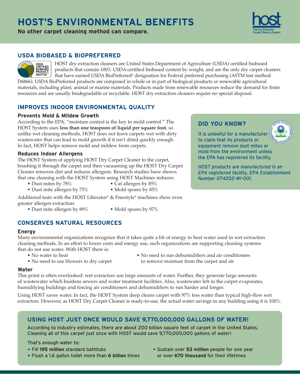# **HOST'S ENVIRONMENTAL BENEFITS**

**No other carpet cleaning method can compare.**

# **USDA BIOBASED & BIOPREFERRED**

HOST dry extraction cleaners are United States Department of Agriculture (USDA) certified biobased products that contain 100% USDA certified biobased content by weight, and are the only dry carpet cleaners that have earned USDA BioPreferred® designation for Federal preferred purchasing (ASTM test method D6866). USDA BioPreferred products are composed in whole or in part of biological products or renewable agricultural

materials, including plant, animal or marine materials. Products made from renewable resources reduce the demand for finite resources and are usually biodegradable or recyclable. HOST dry extraction cleaners require no special disposal.

# **IMPROVES INDOOR ENVIRONMENTAL QUALITY**

#### **Prevents Mold & Mildew Growth**

According to the EPA, "moisture control is the key to mold control." The HOST System uses **less than one teaspoon of liquid per square foot**, so unlike wet cleaning methods, HOST does not leave carpets wet with dirty wastewater that can lead to mold growth if it isn't dried quickly enough. In fact, HOST helps remove mold and mildew from carpets.

#### **Reduces Indoor Allergens**

USDA<br>CERTIFIED<br>BIOBASED **PRODUCT** 

The HOST System of applying HOST Dry Carpet Cleaner to the carpet, brushing it through the carpet and then vacuuming up the HOST Dry Carpet Cleaner removes dirt and reduces allergens. Research studies have shown that one cleaning with the HOST System using HOST Machines reduces:

- Dust mites by 78% Cat allergen by  $85\%$
- Dust mite allergen by 75% Mold spores by 85%

Additional tests with the HOST Liberator® & Freestyle® machines show even greater allergen extraction:

- Dust mite allergen by 89% Mold spores by 97%
	-

# **CONSERVES NATURAL RESOURCES**

#### **Energy**

Many environmental organizations recognize that it takes quite a bit of energy to heat water used in wet extraction cleaning methods. In an effort to lower costs and energy use, such organizations are supporting cleaning systems that do not use water. With HOST there is:

- 
- 
- No water to heat No need to run dehumidifiers and air conditioners • No need to use blowers to dry carpet to remove moisture from the carpet and air

#### **Water**

This point is often overlooked: wet extractors use large amounts of water. Further, they generate large amounts of wastewater which burdens sewers and water treatment facilities. Also, wastewater left in the carpet evaporates, humidifying buildings and forcing air conditioners and dehumidifiers to run harder and longer.

Using HOST saves water. In fact, the HOST System deep cleans carpet with 97% less water than typical high-flow wet extractors. However, as HOST Dry Carpet Cleaner is ready-to-use, the actual water savings in any building using it is 100%.

# **USING HOST JUST ONCE WOULD SAVE 9,770,000,000 GALLONS OF WATER!**

According to industry estimates, there are about 200 billion square feet of carpet in the United States. Cleaning all of this carpet just once with HOST would save 9,770,000,000 gallons of water!

That's enough water to:

- Fill **195 million** standard bathtubs
- Flush a 1.6 gallon toilet more than **6 billion** times
- Sustain over **53 million** people for one year or over **670 thousand** for their lifetimes

It is unlawful for a manufacturer to claim that its products or equipment remove dust mites or

mold from the environment unless

**DID YOU KNOW?**

the EPA has registered its facility. *HOST products are manufactured in an EPA registered facility, EPA Establishment Number 074202-WI-001.*